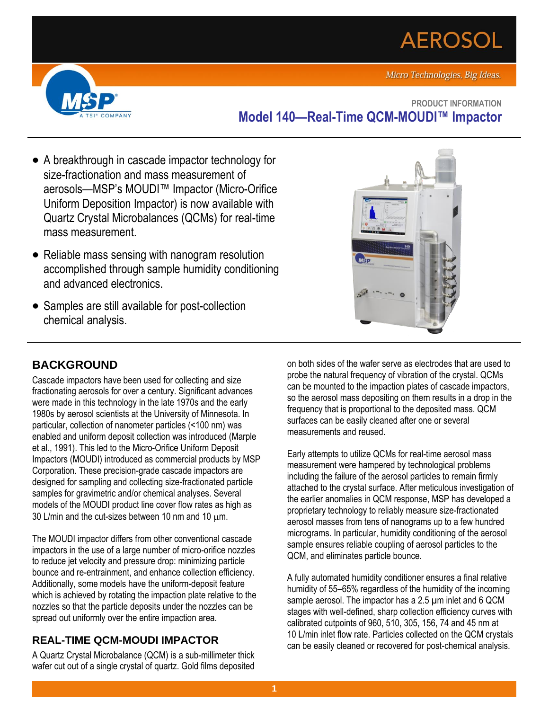# **AEROSOL**





**PRODUCT INFORMATION Model 140—Real-Time QCM-MOUDI™ Impactor**

- A breakthrough in cascade impactor technology for size-fractionation and mass measurement of aerosols—MSP's MOUDI™ Impactor (Micro-Orifice Uniform Deposition Impactor) is now available with Quartz Crystal Microbalances (QCMs) for real-time mass measurement.
- Reliable mass sensing with nanogram resolution accomplished through sample humidity conditioning and advanced electronics.
- Samples are still available for post-collection chemical analysis.



# **BACKGROUND**

Cascade impactors have been used for collecting and size fractionating aerosols for over a century. Significant advances were made in this technology in the late 1970s and the early 1980s by aerosol scientists at the University of Minnesota. In particular, collection of nanometer particles (<100 nm) was enabled and uniform deposit collection was introduced (Marple et al., 1991). This led to the Micro-Orifice Uniform Deposit Impactors (MOUDI) introduced as commercial products by MSP Corporation. These precision-grade cascade impactors are designed for sampling and collecting size-fractionated particle samples for gravimetric and/or chemical analyses. Several models of the MOUDI product line cover flow rates as high as 30 L/min and the cut-sizes between 10 nm and 10  $\mu$ m.

The MOUDI impactor differs from other conventional cascade impactors in the use of a large number of micro-orifice nozzles to reduce jet velocity and pressure drop: minimizing particle bounce and re-entrainment, and enhance collection efficiency. Additionally, some models have the uniform-deposit feature which is achieved by rotating the impaction plate relative to the nozzles so that the particle deposits under the nozzles can be spread out uniformly over the entire impaction area.

# **REAL-TIME QCM-MOUDI IMPACTOR**

A Quartz Crystal Microbalance (QCM) is a sub-millimeter thick wafer cut out of a single crystal of quartz. Gold films deposited on both sides of the wafer serve as electrodes that are used to probe the natural frequency of vibration of the crystal. QCMs can be mounted to the impaction plates of cascade impactors, so the aerosol mass depositing on them results in a drop in the frequency that is proportional to the deposited mass. QCM surfaces can be easily cleaned after one or several measurements and reused.

Early attempts to utilize QCMs for real-time aerosol mass measurement were hampered by technological problems including the failure of the aerosol particles to remain firmly attached to the crystal surface. After meticulous investigation of the earlier anomalies in QCM response, MSP has developed a proprietary technology to reliably measure size-fractionated aerosol masses from tens of nanograms up to a few hundred micrograms. In particular, humidity conditioning of the aerosol sample ensures reliable coupling of aerosol particles to the QCM, and eliminates particle bounce.

A fully automated humidity conditioner ensures a final relative humidity of 55–65% regardless of the humidity of the incoming sample aerosol. The impactor has a 2.5 um inlet and 6 QCM stages with well-defined, sharp collection efficiency curves with calibrated cutpoints of 960, 510, 305, 156, 74 and 45 nm at 10 L/min inlet flow rate. Particles collected on the QCM crystals can be easily cleaned or recovered for post-chemical analysis.